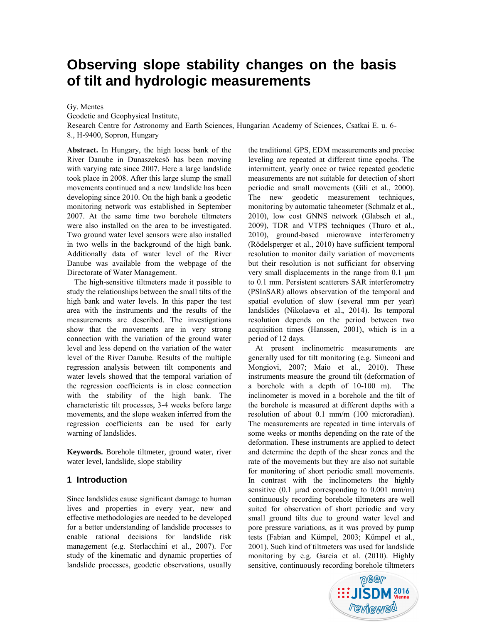# **Observing slope stability changes on the basis of tilt and hydrologic measurements**

Gy. Mentes

Geodetic and Geophysical Institute,

Research Centre for Astronomy and Earth Sciences, Hungarian Academy of Sciences, Csatkai E. u. 6- 8., H-9400, Sopron, Hungary

**Abstract.** In Hungary, the high loess bank of the River Danube in Dunaszekcső has been moving with varying rate since 2007. Here a large landslide took place in 2008. After this large slump the small movements continued and a new landslide has been developing since 2010. On the high bank a geodetic monitoring network was established in September 2007. At the same time two borehole tiltmeters were also installed on the area to be investigated. Two ground water level sensors were also installed in two wells in the background of the high bank. Additionally data of water level of the River Danube was available from the webpage of the Directorate of Water Management.

The high-sensitive tiltmeters made it possible to study the relationships between the small tilts of the high bank and water levels. In this paper the test area with the instruments and the results of the measurements are described. The investigations show that the movements are in very strong connection with the variation of the ground water level and less depend on the variation of the water level of the River Danube. Results of the multiple regression analysis between tilt components and water levels showed that the temporal variation of the regression coefficients is in close connection with the stability of the high bank. The characteristic tilt processes, 3-4 weeks before large movements, and the slope weaken inferred from the regression coefficients can be used for early warning of landslides.

**Keywords.** Borehole tiltmeter, ground water, river water level, landslide, slope stability

## **1 Introduction**

Since landslides cause significant damage to human lives and properties in every year, new and effective methodologies are needed to be developed for a better understanding of landslide processes to enable rational decisions for landslide risk management (e.g. Sterlacchini et al., 2007). For study of the kinematic and dynamic properties of landslide processes, geodetic observations, usually the traditional GPS, EDM measurements and precise leveling are repeated at different time epochs. The intermittent, yearly once or twice repeated geodetic measurements are not suitable for detection of short periodic and small movements (Gili et al., 2000). The new geodetic measurement techniques, monitoring by automatic taheometer (Schmalz et al., 2010), low cost GNNS network (Glabsch et al., 2009), TDR and VTPS techniques (Thuro et al., 2010), ground-based microwave interferometry (Rödelsperger et al., 2010) have sufficient temporal resolution to monitor daily variation of movements but their resolution is not sufficiant for observing very small displacements in the range from 0.1 μm to 0.1 mm. Persistent scatterers SAR interferometry (PSInSAR) allows observation of the temporal and spatial evolution of slow (several mm per year) landslides (Nikolaeva et al., 2014). Its temporal resolution depends on the period between two acquisition times (Hanssen, 2001), which is in a period of 12 days.

At present inclinometric measurements are generally used for tilt monitoring (e.g. Simeoni and Mongiovi, 2007; Maio et al., 2010). These instruments measure the ground tilt (deformation of a borehole with a depth of 10-100 m). The inclinometer is moved in a borehole and the tilt of the borehole is measured at different depths with a resolution of about 0.1 mm/m (100 microradian). The measurements are repeated in time intervals of some weeks or months depending on the rate of the deformation. These instruments are applied to detect and determine the depth of the shear zones and the rate of the movements but they are also not suitable for monitoring of short periodic small movements. In contrast with the inclinometers the highly sensitive  $(0.1 \text{ } \mu \text{ rad corresponding to } 0.001 \text{ } \text{mm/m})$ continuously recording borehole tiltmeters are well suited for observation of short periodic and very small ground tilts due to ground water level and pore pressure variations, as it was proved by pump tests (Fabian and Kümpel, 2003; Kümpel et al., 2001). Such kind of tiltmeters was used for landslide monitoring by e.g. García et al. (2010). Highly sensitive, continuously recording borehole tiltmeters

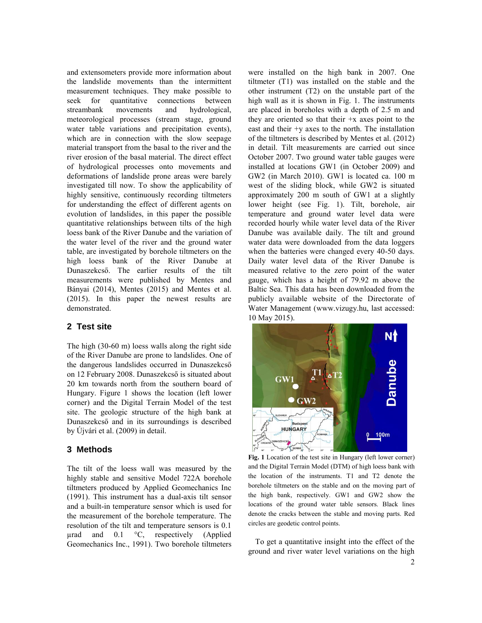and extensometers provide more information about the landslide movements than the intermittent measurement techniques. They make possible to seek for quantitative connections between streambank movements and hydrological, meteorological processes (stream stage, ground water table variations and precipitation events), which are in connection with the slow seepage material transport from the basal to the river and the river erosion of the basal material. The direct effect of hydrological processes onto movements and deformations of landslide prone areas were barely investigated till now. To show the applicability of highly sensitive, continuously recording tiltmeters for understanding the effect of different agents on evolution of landslides, in this paper the possible quantitative relationships between tilts of the high loess bank of the River Danube and the variation of the water level of the river and the ground water table, are investigated by borehole tiltmeters on the high loess bank of the River Danube at Dunaszekcső. The earlier results of the tilt measurements were published by Mentes and Bányai (2014), Mentes (2015) and Mentes et al. (2015). In this paper the newest results are demonstrated.

## **2 Test site**

The high (30-60 m) loess walls along the right side of the River Danube are prone to landslides. One of the dangerous landslides occurred in Dunaszekcső on 12 February 2008. Dunaszekcső is situated about 20 km towards north from the southern board of Hungary. Figure 1 shows the location (left lower corner) and the Digital Terrain Model of the test site. The geologic structure of the high bank at Dunaszekcső and in its surroundings is described by Újvári et al. (2009) in detail.

## **3 Methods**

The tilt of the loess wall was measured by the highly stable and sensitive Model 722A borehole tiltmeters produced by Applied Geomechanics Inc (1991). This instrument has a dual-axis tilt sensor and a built-in temperature sensor which is used for the measurement of the borehole temperature. The resolution of the tilt and temperature sensors is 0.1 µrad and 0.1 °C, respectively (Applied Geomechanics Inc., 1991). Two borehole tiltmeters

were installed on the high bank in 2007. One tiltmeter (T1) was installed on the stable and the other instrument (T2) on the unstable part of the high wall as it is shown in Fig. 1. The instruments are placed in boreholes with a depth of 2.5 m and they are oriented so that their  $+x$  axes point to the east and their +y axes to the north. The installation of the tiltmeters is described by Mentes et al. (2012) in detail. Tilt measurements are carried out since October 2007. Two ground water table gauges were installed at locations GW1 (in October 2009) and GW2 (in March 2010). GW1 is located ca. 100 m west of the sliding block, while GW2 is situated approximately 200 m south of GW1 at a slightly lower height (see Fig. 1). Tilt, borehole, air temperature and ground water level data were recorded hourly while water level data of the River Danube was available daily. The tilt and ground water data were downloaded from the data loggers when the batteries were changed every 40-50 days. Daily water level data of the River Danube is measured relative to the zero point of the water gauge, which has a height of 79.92 m above the Baltic Sea. This data has been downloaded from the publicly available website of the Directorate of Water Management (www.vizugy.hu, last accessed: 10 May 2015).



**Fig. 1** Location of the test site in Hungary (left lower corner) and the Digital Terrain Model (DTM) of high loess bank with the location of the instruments. T1 and T2 denote the borehole tiltmeters on the stable and on the moving part of the high bank, respectively. GW1 and GW2 show the locations of the ground water table sensors. Black lines denote the cracks between the stable and moving parts. Red circles are geodetic control points.

To get a quantitative insight into the effect of the ground and river water level variations on the high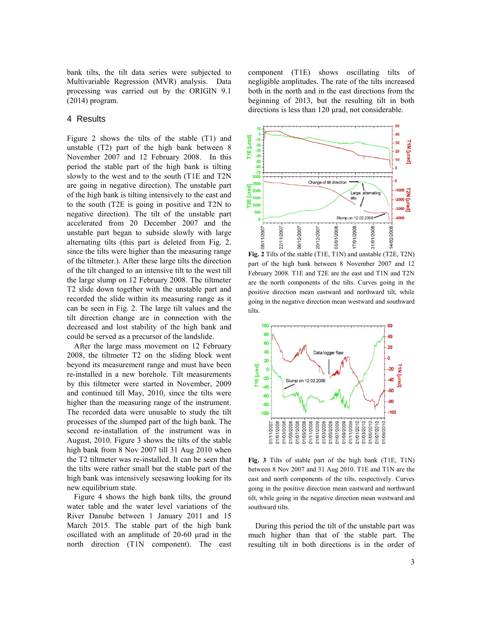bank tilts, the tilt data series were subjected to Multivariable Regression (MVR) analysis. Data processing was carried out by the ORIGIN 9.1 (2014) program.

#### 4 Results

Figure 2 shows the tilts of the stable (T1) and unstable (T2) part of the high bank between 8 November 2007 and 12 February 2008. In this period the stable part of the high bank is tilting slowly to the west and to the south (T1E and T2N are going in negative direction). The unstable part of the high bank is tilting intensively to the east and to the south (T2E is going in positive and T2N to negative direction). The tilt of the unstable part accelerated from 20 December 2007 and the unstable part began to subside slowly with large alternating tilts (this part is deleted from Fig. 2. since the tilts were higher than the measuring range of the tiltmeter.). After these large tilts the direction of the tilt changed to an intensive tilt to the west till the large slump on 12 February 2008. The tiltmeter T2 slide down together with the unstable part and recorded the slide within its measuring range as it can be seen in Fig. 2. The large tilt values and the tilt direction change are in connection with the decreased and lost stability of the high bank and could be served as a precursor of the landslide.

After the large mass movement on 12 February 2008, the tiltmeter T2 on the sliding block went beyond its measurement range and must have been re-installed in a new borehole. Tilt measurements by this tiltmeter were started in November, 2009 and continued till May, 2010, since the tilts were higher than the measuring range of the instrument. The recorded data were unusable to study the tilt processes of the slumped part of the high bank. The second re-installation of the instrument was in August, 2010. Figure 3 shows the tilts of the stable high bank from 8 Nov 2007 till 31 Aug 2010 when the T2 tiltmeter was re-installed. It can be seen that the tilts were rather small but the stable part of the high bank was intensively seesawing looking for its new equilibrium state.

Figure 4 shows the high bank tilts, the ground water table and the water level variations of the River Danube between 1 January 2011 and 15 March 2015. The stable part of the high bank oscillated with an amplitude of 20-60 μrad in the north direction (T1N component). The east

component (T1E) shows oscillating tilts of negligible amplitudes. The rate of the tilts increased both in the north and in the east directions from the beginning of 2013, but the resulting tilt in both directions is less than 120 μrad, not considerable.



**Fig. 2** Tilts of the stable (T1E, T1N) and unstable (T2E, T2N) part of the high bank between 8 November 2007 and 12 February 2008. T1E and T2E are the east and T1N and T2N are the north components of the tilts. Curves going in the positive direction mean eastward and northward tilt, while going in the negative direction mean westward and southward tilts.



**Fig. 3** Tilts of stable part of the high bank (T1E, T1N) between 8 Nov 2007 and 31 Aug 2010. T1E and T1N are the east and north components of the tilts, respectively. Curves going in the positive direction mean eastward and northward tilt, while going in the negative direction mean westward and southward tilts.

During this period the tilt of the unstable part was much higher than that of the stable part. The resulting tilt in both directions is in the order of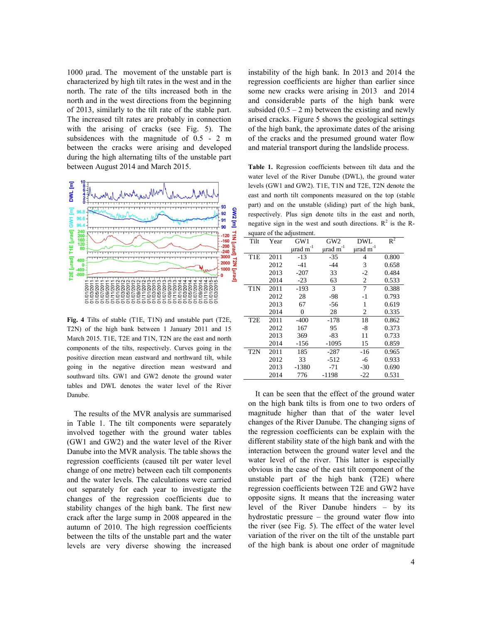1000 μrad. The movement of the unstable part is characterized by high tilt rates in the west and in the north. The rate of the tilts increased both in the north and in the west directions from the beginning of 2013, similarly to the tilt rate of the stable part. The increased tilt rates are probably in connection with the arising of cracks (see Fig. 5). The subsidences with the magnitude of 0.5 - 2 m between the cracks were arising and developed during the high alternating tilts of the unstable part between August 2014 and March 2015.



**Fig. 4** Tilts of stable (T1E, T1N) and unstable part (T2E, T2N) of the high bank between 1 January 2011 and 15 March 2015. T1E, T2E and T1N, T2N are the east and north components of the tilts, respectively. Curves going in the positive direction mean eastward and northward tilt, while going in the negative direction mean westward and southward tilts. GW1 and GW2 denote the ground water tables and DWL denotes the water level of the River Danube.

The results of the MVR analysis are summarised in Table 1. The tilt components were separately involved together with the ground water tables (GW1 and GW2) and the water level of the River Danube into the MVR analysis. The table shows the regression coefficients (caused tilt per water level change of one metre) between each tilt components and the water levels. The calculations were carried out separately for each year to investigate the changes of the regression coefficients due to stability changes of the high bank. The first new crack after the large sump in 2008 appeared in the autumn of 2010. The high regression coefficients between the tilts of the unstable part and the water levels are very diverse showing the increased

instability of the high bank. In 2013 and 2014 the regression coefficients are higher than earlier since some new cracks were arising in 2013 and 2014 and considerable parts of the high bank were subsided  $(0.5 - 2 \text{ m})$  between the existing and newly arised cracks. Figure 5 shows the geological settings of the high bank, the aproximate dates of the arising of the cracks and the presumed ground water flow and material transport during the landslide process.

**Table 1.** Regression coefficients between tilt data and the water level of the River Danube (DWL), the ground water levels (GW1 and GW2). T1E, T1N and T2E, T2N denote the east and north tilt components measured on the top (stable part) and on the unstable (sliding) part of the high bank, respectively. Plus sign denote tilts in the east and north, negative sign in the west and south directions.  $R^2$  is the Rsquare of the adjustment.

| Tilt             | Year | GW1                       | GW <sub>2</sub>           | DWL                       | $R^2$ |
|------------------|------|---------------------------|---------------------------|---------------------------|-------|
|                  |      | $\mu$ rad m <sup>-1</sup> | $\mu$ rad m <sup>-1</sup> | $\mu$ rad m <sup>-1</sup> |       |
| T <sub>1</sub> E | 2011 | $-13$                     | $-35$                     | $\overline{4}$            | 0.800 |
|                  | 2012 | $-41$                     | $-44$                     | 3                         | 0.658 |
|                  | 2013 | $-207$                    | 33                        | $-2$                      | 0.484 |
|                  | 2014 | $-23$                     | 63                        | 2                         | 0.533 |
| T <sub>1</sub> N | 2011 | $-193$                    | 3                         | 7                         | 0.388 |
|                  | 2012 | 28                        | $-98$                     | $-1$                      | 0.793 |
|                  | 2013 | 67                        | -56                       | 1                         | 0.619 |
|                  | 2014 | 0                         | 28                        | 2                         | 0.335 |
| T <sub>2</sub> E | 2011 | $-400$                    | $-178$                    | 18                        | 0.862 |
|                  | 2012 | 167                       | 95                        | $-8$                      | 0.373 |
|                  | 2013 | 369                       | -83                       | 11                        | 0.733 |
|                  | 2014 | -156                      | $-1095$                   | 15                        | 0.859 |
| T <sub>2</sub> N | 2011 | 185                       | -287                      | -16                       | 0.965 |
|                  | 2012 | 33                        | -512                      | -6                        | 0.933 |
|                  | 2013 | $-1380$                   | $-71$                     | $-30$                     | 0.690 |
|                  | 2014 | 776                       | $-1198$                   | $-22$                     | 0.531 |

It can be seen that the effect of the ground water on the high bank tilts is from one to two orders of magnitude higher than that of the water level changes of the River Danube. The changing signs of the regression coefficients can be explain with the different stability state of the high bank and with the interaction between the ground water level and the water level of the river. This latter is especially obvious in the case of the east tilt component of the unstable part of the high bank (T2E) where regression coefficients between T2E and GW2 have opposite signs. It means that the increasing water level of the River Danube hinders – by its hydrostatic pressure – the ground water flow into the river (see Fig. 5). The effect of the water level variation of the river on the tilt of the unstable part of the high bank is about one order of magnitude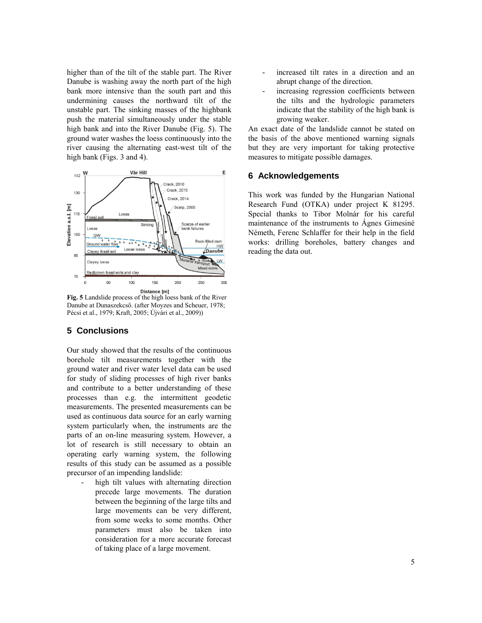higher than of the tilt of the stable part. The River Danube is washing away the north part of the high bank more intensive than the south part and this undermining causes the northward tilt of the unstable part. The sinking masses of the highbank push the material simultaneously under the stable high bank and into the River Danube (Fig. 5). The ground water washes the loess continuously into the river causing the alternating east-west tilt of the high bank (Figs. 3 and 4).



**Fig. 5** Landslide process of the high loess bank of the River Danube at Dunaszekcső. (after Moyzes and Scheuer, 1978; Pécsi et al., 1979; Kraft, 2005; Újvári et al., 2009))

## **5 Conclusions**

Our study showed that the results of the continuous borehole tilt measurements together with the ground water and river water level data can be used for study of sliding processes of high river banks and contribute to a better understanding of these processes than e.g. the intermittent geodetic measurements. The presented measurements can be used as continuous data source for an early warning system particularly when, the instruments are the parts of an on-line measuring system. However, a lot of research is still necessary to obtain an operating early warning system, the following results of this study can be assumed as a possible precursor of an impending landslide:

high tilt values with alternating direction precede large movements. The duration between the beginning of the large tilts and large movements can be very different, from some weeks to some months. Other parameters must also be taken into consideration for a more accurate forecast of taking place of a large movement.

- increased tilt rates in a direction and an abrupt change of the direction.
- increasing regression coefficients between the tilts and the hydrologic parameters indicate that the stability of the high bank is growing weaker.

An exact date of the landslide cannot be stated on the basis of the above mentioned warning signals but they are very important for taking protective measures to mitigate possible damages.

### **6 Acknowledgements**

This work was funded by the Hungarian National Research Fund (OTKA) under project K 81295. Special thanks to Tibor Molnár for his careful maintenance of the instruments to Ágnes Gimesiné Németh, Ferenc Schlaffer for their help in the field works: drilling boreholes, battery changes and reading the data out.